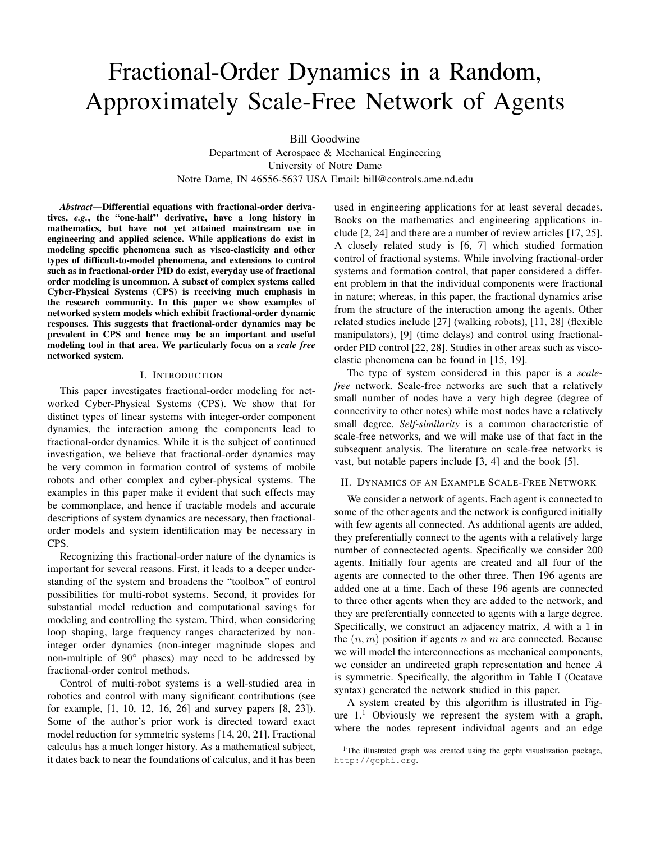# Fractional-Order Dynamics in a Random, Approximately Scale-Free Network of Agents

Bill Goodwine

Department of Aerospace & Mechanical Engineering University of Notre Dame Notre Dame, IN 46556-5637 USA Email: bill@controls.ame.nd.edu

*Abstract*—Differential equations with fractional-order derivatives, *e.g.*, the "one-half" derivative, have a long history in mathematics, but have not yet attained mainstream use in engineering and applied science. While applications do exist in modeling specific phenomena such as visco-elasticity and other types of difficult-to-model phenomena, and extensions to control such as in fractional-order PID do exist, everyday use of fractional order modeling is uncommon. A subset of complex systems called Cyber-Physical Systems (CPS) is receiving much emphasis in the research community. In this paper we show examples of networked system models which exhibit fractional-order dynamic responses. This suggests that fractional-order dynamics may be prevalent in CPS and hence may be an important and useful modeling tool in that area. We particularly focus on a *scale free* networked system.

#### I. INTRODUCTION

This paper investigates fractional-order modeling for networked Cyber-Physical Systems (CPS). We show that for distinct types of linear systems with integer-order component dynamics, the interaction among the components lead to fractional-order dynamics. While it is the subject of continued investigation, we believe that fractional-order dynamics may be very common in formation control of systems of mobile robots and other complex and cyber-physical systems. The examples in this paper make it evident that such effects may be commonplace, and hence if tractable models and accurate descriptions of system dynamics are necessary, then fractionalorder models and system identification may be necessary in CPS.

Recognizing this fractional-order nature of the dynamics is important for several reasons. First, it leads to a deeper understanding of the system and broadens the "toolbox" of control possibilities for multi-robot systems. Second, it provides for substantial model reduction and computational savings for modeling and controlling the system. Third, when considering loop shaping, large frequency ranges characterized by noninteger order dynamics (non-integer magnitude slopes and non-multiple of  $90°$  phases) may need to be addressed by fractional-order control methods.

Control of multi-robot systems is a well-studied area in robotics and control with many significant contributions (see for example, [1, 10, 12, 16, 26] and survey papers [8, 23]). Some of the author's prior work is directed toward exact model reduction for symmetric systems [14, 20, 21]. Fractional calculus has a much longer history. As a mathematical subject, it dates back to near the foundations of calculus, and it has been used in engineering applications for at least several decades. Books on the mathematics and engineering applications include [2, 24] and there are a number of review articles [17, 25]. A closely related study is [6, 7] which studied formation control of fractional systems. While involving fractional-order systems and formation control, that paper considered a different problem in that the individual components were fractional in nature; whereas, in this paper, the fractional dynamics arise from the structure of the interaction among the agents. Other related studies include [27] (walking robots), [11, 28] (flexible manipulators), [9] (time delays) and control using fractionalorder PID control [22, 28]. Studies in other areas such as viscoelastic phenomena can be found in [15, 19].

The type of system considered in this paper is a *scalefree* network. Scale-free networks are such that a relatively small number of nodes have a very high degree (degree of connectivity to other notes) while most nodes have a relatively small degree. *Self-similarity* is a common characteristic of scale-free networks, and we will make use of that fact in the subsequent analysis. The literature on scale-free networks is vast, but notable papers include [3, 4] and the book [5].

## II. DYNAMICS OF AN EXAMPLE SCALE-FREE NETWORK

We consider a network of agents. Each agent is connected to some of the other agents and the network is configured initially with few agents all connected. As additional agents are added, they preferentially connect to the agents with a relatively large number of connectected agents. Specifically we consider 200 agents. Initially four agents are created and all four of the agents are connected to the other three. Then 196 agents are added one at a time. Each of these 196 agents are connected to three other agents when they are added to the network, and they are preferentially connected to agents with a large degree. Specifically, we construct an adjacency matrix, A with a 1 in the  $(n, m)$  position if agents n and m are connected. Because we will model the interconnections as mechanical components, we consider an undirected graph representation and hence A is symmetric. Specifically, the algorithm in Table I (Ocatave syntax) generated the network studied in this paper.

A system created by this algorithm is illustrated in Figure  $1<sup>1</sup>$  Obviously we represent the system with a graph, where the nodes represent individual agents and an edge

<sup>&</sup>lt;sup>1</sup>The illustrated graph was created using the gephi visualization package, http://gephi.org.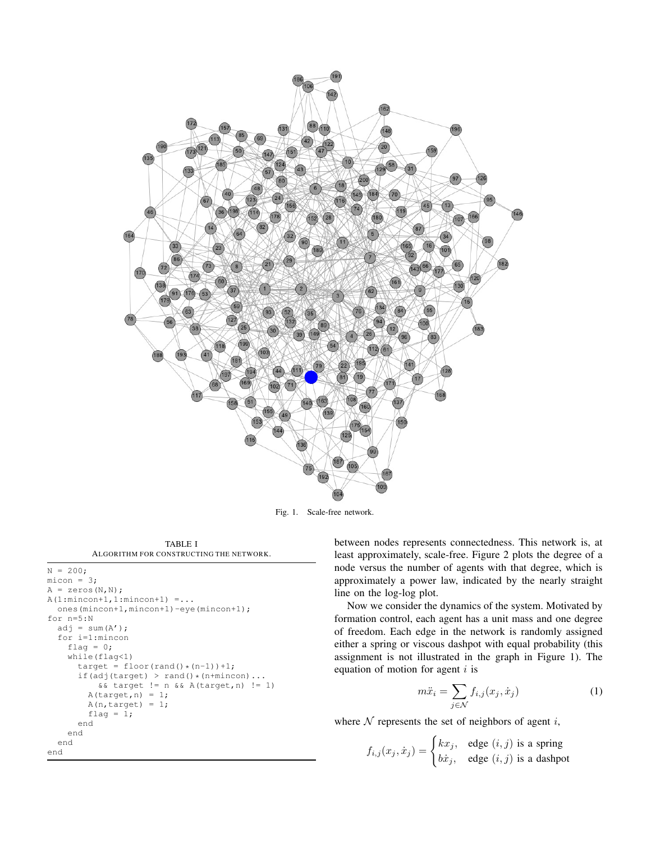

Fig. 1. Scale-free network.

TABLE I ALGORITHM FOR CONSTRUCTING THE NETWORK.

```
N = 200;
micon = 3;A = zeros(N,N);A(1:mincon+1,1:mincon+1) = \ldotsones(mincon+1,mincon+1)-eye(mincon+1);
for n=5:N
  adj = sum(A');
  for i=1:mincon
    flag = 0;while(flag<1)
      target = floor(rand() * (n-1)) +1;if(adj(target) > rand() *(n+mincon) \ldots&& target != n && A(target,n) != 1)
        A(target, n) = 1;A(n, target) = 1;flag = 1;end
    end
  end
end
```
between nodes represents connectedness. This network is, at least approximately, scale-free. Figure 2 plots the degree of a node versus the number of agents with that degree, which is approximately a power law, indicated by the nearly straight line on the log-log plot.

Now we consider the dynamics of the system. Motivated by formation control, each agent has a unit mass and one degree of freedom. Each edge in the network is randomly assigned either a spring or viscous dashpot with equal probability (this assignment is not illustrated in the graph in Figure 1). The equation of motion for agent  $i$  is

$$
m\ddot{x}_i = \sum_{j \in \mathcal{N}} f_{i,j}(x_j, \dot{x}_j)
$$
 (1)

where  $N$  represents the set of neighbors of agent i,

$$
f_{i,j}(x_j, \dot{x}_j) = \begin{cases} kx_j, & \text{edge } (i,j) \text{ is a spring} \\ b\dot{x}_j, & \text{edge } (i,j) \text{ is a dashpot} \end{cases}
$$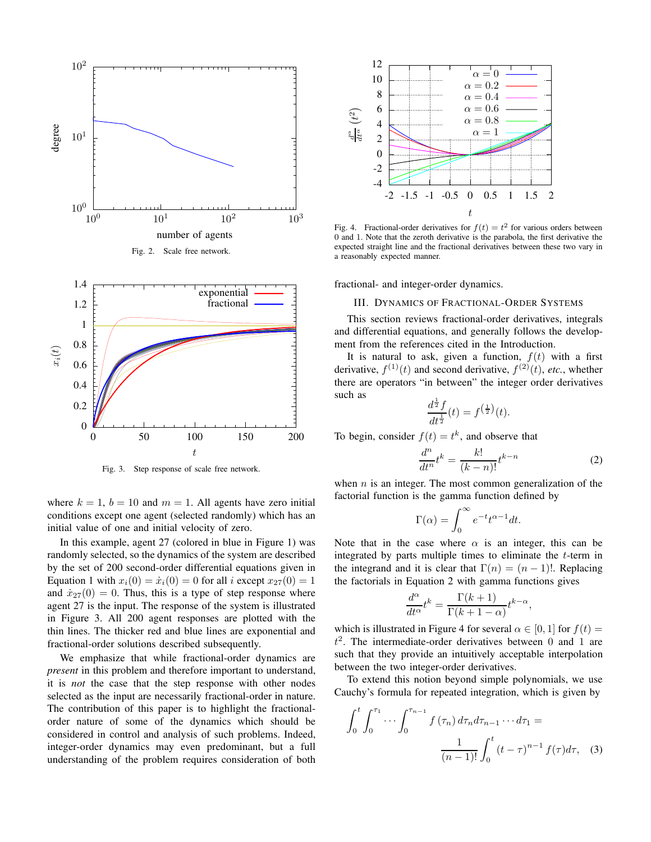

Fig. 3. Step response of scale free network.

0 50 100 150 200

t

where  $k = 1$ ,  $b = 10$  and  $m = 1$ . All agents have zero initial conditions except one agent (selected randomly) which has an initial value of one and initial velocity of zero.

In this example, agent 27 (colored in blue in Figure 1) was randomly selected, so the dynamics of the system are described by the set of 200 second-order differential equations given in Equation 1 with  $x_i(0) = \dot{x}_i(0) = 0$  for all i except  $x_{27}(0) = 1$ and  $\dot{x}_{27}(0) = 0$ . Thus, this is a type of step response where agent 27 is the input. The response of the system is illustrated in Figure 3. All 200 agent responses are plotted with the thin lines. The thicker red and blue lines are exponential and fractional-order solutions described subsequently.

We emphasize that while fractional-order dynamics are *present* in this problem and therefore important to understand, it is *not* the case that the step response with other nodes selected as the input are necessarily fractional-order in nature. The contribution of this paper is to highlight the fractionalorder nature of some of the dynamics which should be considered in control and analysis of such problems. Indeed, integer-order dynamics may even predominant, but a full understanding of the problem requires consideration of both



Fig. 4. Fractional-order derivatives for  $f(t) = t^2$  for various orders between 0 and 1. Note that the zeroth derivative is the parabola, the first derivative the expected straight line and the fractional derivatives between these two vary in a reasonably expected manner.

fractional- and integer-order dynamics.

## III. DYNAMICS OF FRACTIONAL-ORDER SYSTEMS

This section reviews fractional-order derivatives, integrals and differential equations, and generally follows the development from the references cited in the Introduction.

It is natural to ask, given a function,  $f(t)$  with a first derivative,  $f^{(1)}(t)$  and second derivative,  $f^{(2)}(t)$ , *etc.*, whether there are operators "in between" the integer order derivatives such as 1

$$
\frac{d^{\frac{1}{2}}f}{dt^{\frac{1}{2}}}(t) = f^{\left(\frac{1}{2}\right)}(t).
$$

To begin, consider  $f(t) = t^k$ , and observe that

$$
\frac{d^n}{dt^n}t^k = \frac{k!}{(k-n)!}t^{k-n}
$$
 (2)

when  $n$  is an integer. The most common generalization of the factorial function is the gamma function defined by

$$
\Gamma(\alpha) = \int_0^\infty e^{-t} t^{\alpha - 1} dt.
$$

Note that in the case where  $\alpha$  is an integer, this can be integrated by parts multiple times to eliminate the  $t$ -term in the integrand and it is clear that  $\Gamma(n) = (n-1)!$ . Replacing the factorials in Equation 2 with gamma functions gives

$$
\frac{d^{\alpha}}{dt^{\alpha}}t^k = \frac{\Gamma(k+1)}{\Gamma(k+1-\alpha)}t^{k-\alpha},
$$

which is illustrated in Figure 4 for several  $\alpha \in [0, 1]$  for  $f(t) =$  $t^2$ . The intermediate-order derivatives between 0 and 1 are such that they provide an intuitively acceptable interpolation between the two integer-order derivatives.

To extend this notion beyond simple polynomials, we use Cauchy's formula for repeated integration, which is given by

$$
\int_0^t \int_0^{\tau_1} \cdots \int_0^{\tau_{n-1}} f(\tau_n) d\tau_n d\tau_{n-1} \cdots d\tau_1 = \frac{1}{(n-1)!} \int_0^t (t-\tau)^{n-1} f(\tau) d\tau, \quad (3)
$$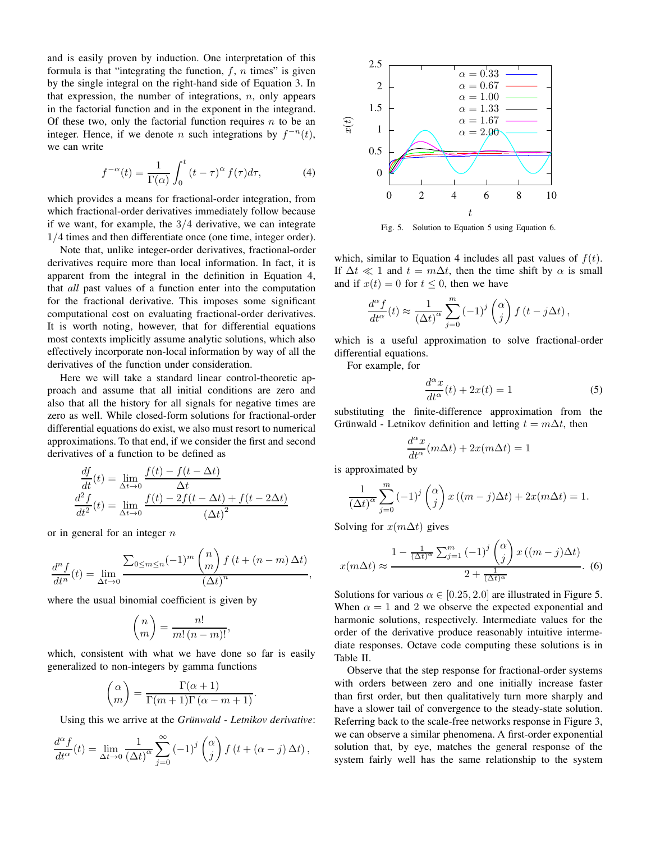and is easily proven by induction. One interpretation of this formula is that "integrating the function,  $f$ ,  $n$  times" is given by the single integral on the right-hand side of Equation 3. In that expression, the number of integrations,  $n$ , only appears in the factorial function and in the exponent in the integrand. Of these two, only the factorial function requires  $n$  to be an integer. Hence, if we denote *n* such integrations by  $f^{-n}(t)$ , we can write

$$
f^{-\alpha}(t) = \frac{1}{\Gamma(\alpha)} \int_0^t (t - \tau)^{\alpha} f(\tau) d\tau,
$$
 (4)

which provides a means for fractional-order integration, from which fractional-order derivatives immediately follow because if we want, for example, the  $3/4$  derivative, we can integrate 1/4 times and then differentiate once (one time, integer order).

Note that, unlike integer-order derivatives, fractional-order derivatives require more than local information. In fact, it is apparent from the integral in the definition in Equation 4, that *all* past values of a function enter into the computation for the fractional derivative. This imposes some significant computational cost on evaluating fractional-order derivatives. It is worth noting, however, that for differential equations most contexts implicitly assume analytic solutions, which also effectively incorporate non-local information by way of all the derivatives of the function under consideration.

Here we will take a standard linear control-theoretic approach and assume that all initial conditions are zero and also that all the history for all signals for negative times are zero as well. While closed-form solutions for fractional-order differential equations do exist, we also must resort to numerical approximations. To that end, if we consider the first and second derivatives of a function to be defined as

$$
\frac{df}{dt}(t) = \lim_{\Delta t \to 0} \frac{f(t) - f(t - \Delta t)}{\Delta t}
$$
\n
$$
\frac{d^2 f}{dt^2}(t) = \lim_{\Delta t \to 0} \frac{f(t) - 2f(t - \Delta t) + f(t - 2\Delta t)}{(\Delta t)^2}
$$

or in general for an integer  $n$ 

$$
\frac{d^n f}{dt^n}(t) = \lim_{\Delta t \to 0} \frac{\sum_{0 \le m \le n} (-1)^m \binom{n}{m} f(t + (n-m) \Delta t)}{(\Delta t)^n},
$$

where the usual binomial coefficient is given by

$$
\binom{n}{m} = \frac{n!}{m!\,(n-m)!},
$$

which, consistent with what we have done so far is easily generalized to non-integers by gamma functions

$$
\binom{\alpha}{m} = \frac{\Gamma(\alpha+1)}{\Gamma(m+1)\Gamma(\alpha-m+1)}.
$$

Using this we arrive at the *Grünwald - Letnikov derivative*:

$$
\frac{d^{\alpha} f}{dt^{\alpha}}(t) = \lim_{\Delta t \to 0} \frac{1}{(\Delta t)^{\alpha}} \sum_{j=0}^{\infty} (-1)^{j} {\alpha \choose j} f(t + (\alpha - j) \Delta t),
$$



Fig. 5. Solution to Equation 5 using Equation 6.

which, similar to Equation 4 includes all past values of  $f(t)$ . If  $\Delta t \ll 1$  and  $t = m\Delta t$ , then the time shift by  $\alpha$  is small and if  $x(t) = 0$  for  $t \le 0$ , then we have

$$
\frac{d^{\alpha} f}{dt^{\alpha}}(t) \approx \frac{1}{(\Delta t)^{\alpha}} \sum_{j=0}^{m} (-1)^{j} {\alpha \choose j} f(t - j\Delta t),
$$

which is a useful approximation to solve fractional-order differential equations.

For example, for

$$
\frac{d^{\alpha}x}{dt^{\alpha}}(t) + 2x(t) = 1
$$
\n(5)

substituting the finite-difference approximation from the Grünwald - Letnikov definition and letting  $t = m\Delta t$ , then

$$
\frac{d^{\alpha}x}{dt^{\alpha}}(m\Delta t) + 2x(m\Delta t) = 1
$$

is approximated by

$$
\frac{1}{(\Delta t)^{\alpha}} \sum_{j=0}^{m} (-1)^{j} {\binom{\alpha}{j}} x ((m-j)\Delta t) + 2x(m\Delta t) = 1.
$$

Solving for  $x(m\Delta t)$  gives

$$
x(m\Delta t) \approx \frac{1 - \frac{1}{(\Delta t)^{\alpha}} \sum_{j=1}^{m} (-1)^{j} \binom{\alpha}{j} x ((m-j)\Delta t)}{2 + \frac{1}{(\Delta t)^{\alpha}}}. \tag{6}
$$

Solutions for various  $\alpha \in [0.25, 2.0]$  are illustrated in Figure 5. When  $\alpha = 1$  and 2 we observe the expected exponential and harmonic solutions, respectively. Intermediate values for the order of the derivative produce reasonably intuitive intermediate responses. Octave code computing these solutions is in Table II.

Observe that the step response for fractional-order systems with orders between zero and one initially increase faster than first order, but then qualitatively turn more sharply and have a slower tail of convergence to the steady-state solution. Referring back to the scale-free networks response in Figure 3, we can observe a similar phenomena. A first-order exponential solution that, by eye, matches the general response of the system fairly well has the same relationship to the system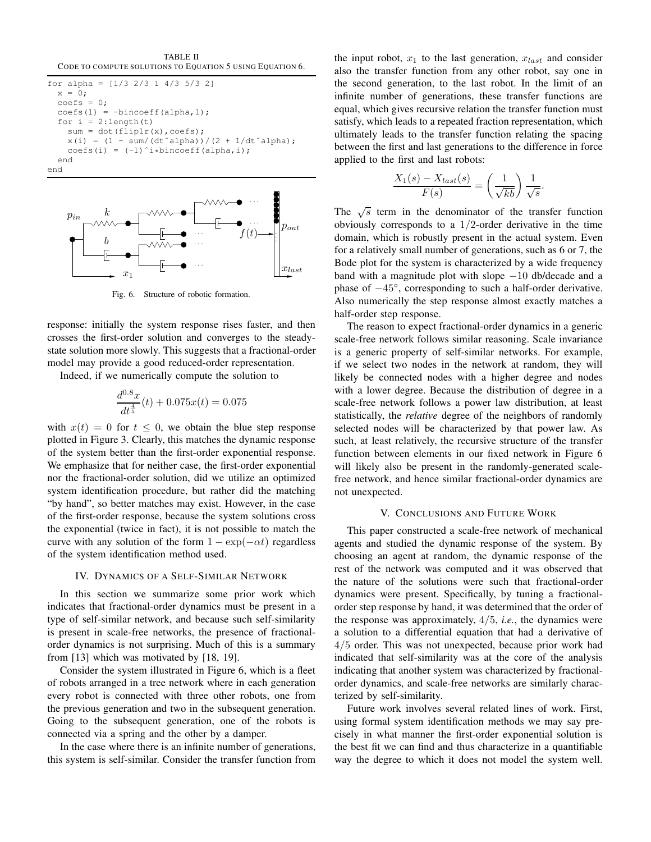TABLE II CODE TO COMPUTE SOLUTIONS TO EQUATION 5 USING EQUATION 6.

```
for alpha = [1/3 2/3 1 4/3 5/3 2]
  x = 0;coefs = 0;coeff(alpha,1) = -bincoeff(alpha,1);
  for i = 2: length(t)
    sum = dot(fliplr(x), coefs);
     x(i) = (1 - sum/(dt^{\text{alpha}}))/(2 + 1/dt^{\text{alpha}});
     coefs(i) = (-1)<sup>2</sup>\pmbincoeff(alpha,i);
  end
end
```


Fig. 6. Structure of robotic formation.

response: initially the system response rises faster, and then crosses the first-order solution and converges to the steadystate solution more slowly. This suggests that a fractional-order model may provide a good reduced-order representation.

Indeed, if we numerically compute the solution to

$$
\frac{d^{0.8}x}{dt^{\frac{4}{5}}}(t) + 0.075x(t) = 0.075
$$

with  $x(t) = 0$  for  $t \leq 0$ , we obtain the blue step response plotted in Figure 3. Clearly, this matches the dynamic response of the system better than the first-order exponential response. We emphasize that for neither case, the first-order exponential nor the fractional-order solution, did we utilize an optimized system identification procedure, but rather did the matching "by hand", so better matches may exist. However, in the case of the first-order response, because the system solutions cross the exponential (twice in fact), it is not possible to match the curve with any solution of the form  $1 - \exp(-\alpha t)$  regardless of the system identification method used.

#### IV. DYNAMICS OF A SELF-SIMILAR NETWORK

In this section we summarize some prior work which indicates that fractional-order dynamics must be present in a type of self-similar network, and because such self-similarity is present in scale-free networks, the presence of fractionalorder dynamics is not surprising. Much of this is a summary from [13] which was motivated by [18, 19].

Consider the system illustrated in Figure 6, which is a fleet of robots arranged in a tree network where in each generation every robot is connected with three other robots, one from the previous generation and two in the subsequent generation. Going to the subsequent generation, one of the robots is connected via a spring and the other by a damper.

In the case where there is an infinite number of generations, this system is self-similar. Consider the transfer function from the input robot,  $x_1$  to the last generation,  $x_{last}$  and consider also the transfer function from any other robot, say one in the second generation, to the last robot. In the limit of an infinite number of generations, these transfer functions are equal, which gives recursive relation the transfer function must satisfy, which leads to a repeated fraction representation, which ultimately leads to the transfer function relating the spacing between the first and last generations to the difference in force applied to the first and last robots:

$$
\frac{X_1(s) - X_{last}(s)}{F(s)} = \left(\frac{1}{\sqrt{kb}}\right) \frac{1}{\sqrt{s}}.
$$

The  $\sqrt{s}$  term in the denominator of the transfer function obviously corresponds to a  $1/2$ -order derivative in the time domain, which is robustly present in the actual system. Even for a relatively small number of generations, such as 6 or 7, the Bode plot for the system is characterized by a wide frequency band with a magnitude plot with slope −10 db/decade and a phase of  $-45^\circ$ , corresponding to such a half-order derivative. Also numerically the step response almost exactly matches a half-order step response.

The reason to expect fractional-order dynamics in a generic scale-free network follows similar reasoning. Scale invariance is a generic property of self-similar networks. For example, if we select two nodes in the network at random, they will likely be connected nodes with a higher degree and nodes with a lower degree. Because the distribution of degree in a scale-free network follows a power law distribution, at least statistically, the *relative* degree of the neighbors of randomly selected nodes will be characterized by that power law. As such, at least relatively, the recursive structure of the transfer function between elements in our fixed network in Figure 6 will likely also be present in the randomly-generated scalefree network, and hence similar fractional-order dynamics are not unexpected.

### V. CONCLUSIONS AND FUTURE WORK

This paper constructed a scale-free network of mechanical agents and studied the dynamic response of the system. By choosing an agent at random, the dynamic response of the rest of the network was computed and it was observed that the nature of the solutions were such that fractional-order dynamics were present. Specifically, by tuning a fractionalorder step response by hand, it was determined that the order of the response was approximately, 4/5, *i.e.*, the dynamics were a solution to a differential equation that had a derivative of 4/5 order. This was not unexpected, because prior work had indicated that self-similarity was at the core of the analysis indicating that another system was characterized by fractionalorder dynamics, and scale-free networks are similarly characterized by self-similarity.

Future work involves several related lines of work. First, using formal system identification methods we may say precisely in what manner the first-order exponential solution is the best fit we can find and thus characterize in a quantifiable way the degree to which it does not model the system well.